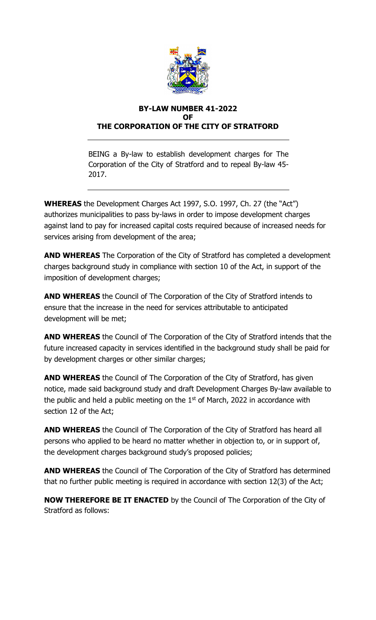

#### **BY-LAW NUMBER 41-2022 OF THE CORPORATION OF THE CITY OF STRATFORD**

BEING a By-law to establish development charges for The Corporation of the City of Stratford and to repeal By-law 45- 2017.

**WHEREAS** the Development Charges Act 1997, S.O. 1997, Ch. 27 (the "Act") authorizes municipalities to pass by-laws in order to impose development charges against land to pay for increased capital costs required because of increased needs for services arising from development of the area;

**AND WHEREAS** The Corporation of the City of Stratford has completed a development charges background study in compliance with section 10 of the Act, in support of the imposition of development charges;

**AND WHEREAS** the Council of The Corporation of the City of Stratford intends to ensure that the increase in the need for services attributable to anticipated development will be met;

**AND WHEREAS** the Council of The Corporation of the City of Stratford intends that the future increased capacity in services identified in the background study shall be paid for by development charges or other similar charges;

**AND WHEREAS** the Council of The Corporation of the City of Stratford, has given notice, made said background study and draft Development Charges By-law available to the public and held a public meeting on the  $1<sup>st</sup>$  of March, 2022 in accordance with section 12 of the Act;

**AND WHEREAS** the Council of The Corporation of the City of Stratford has heard all persons who applied to be heard no matter whether in objection to, or in support of, the development charges background study's proposed policies;

**AND WHEREAS** the Council of The Corporation of the City of Stratford has determined that no further public meeting is required in accordance with section 12(3) of the Act;

**NOW THEREFORE BE IT ENACTED** by the Council of The Corporation of the City of Stratford as follows: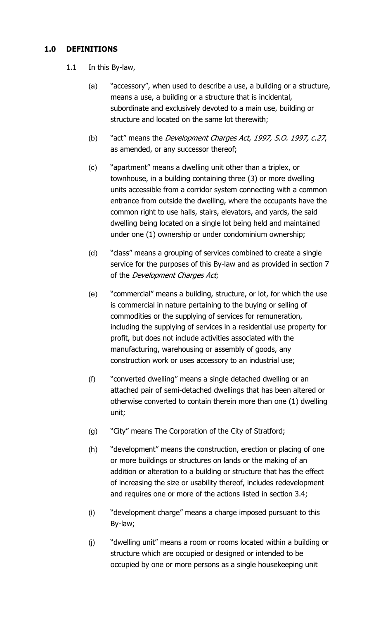## **1.0 DEFINITIONS**

- 1.1 In this By-law,
	- (a) "accessory", when used to describe a use, a building or a structure, means a use, a building or a structure that is incidental, subordinate and exclusively devoted to a main use, building or structure and located on the same lot therewith;
	- (b) "act" means the Development Charges Act, 1997, S.O. 1997, c.27, as amended, or any successor thereof;
	- (c) "apartment" means a dwelling unit other than a triplex, or townhouse, in a building containing three (3) or more dwelling units accessible from a corridor system connecting with a common entrance from outside the dwelling, where the occupants have the common right to use halls, stairs, elevators, and yards, the said dwelling being located on a single lot being held and maintained under one (1) ownership or under condominium ownership;
	- (d) "class" means a grouping of services combined to create a single service for the purposes of this By-law and as provided in section 7 of the *Development Charges Act*;
	- (e) "commercial" means a building, structure, or lot, for which the use is commercial in nature pertaining to the buying or selling of commodities or the supplying of services for remuneration, including the supplying of services in a residential use property for profit, but does not include activities associated with the manufacturing, warehousing or assembly of goods, any construction work or uses accessory to an industrial use;
	- (f) "converted dwelling" means a single detached dwelling or an attached pair of semi-detached dwellings that has been altered or otherwise converted to contain therein more than one (1) dwelling unit;
	- (g) "City" means The Corporation of the City of Stratford;
	- (h) "development" means the construction, erection or placing of one or more buildings or structures on lands or the making of an addition or alteration to a building or structure that has the effect of increasing the size or usability thereof, includes redevelopment and requires one or more of the actions listed in section 3.4;
	- (i) "development charge" means a charge imposed pursuant to this By-law;
	- (j) "dwelling unit" means a room or rooms located within a building or structure which are occupied or designed or intended to be occupied by one or more persons as a single housekeeping unit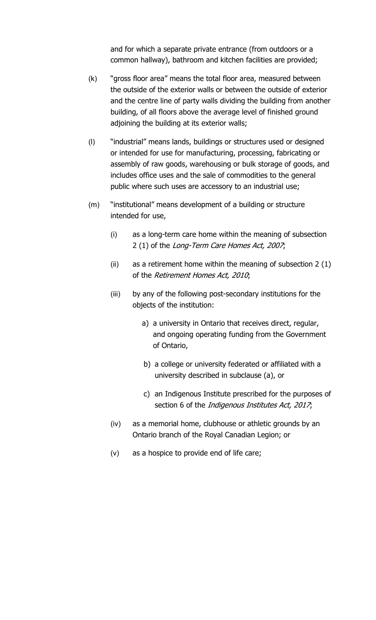and for which a separate private entrance (from outdoors or a common hallway), bathroom and kitchen facilities are provided;

- (k) "gross floor area" means the total floor area, measured between the outside of the exterior walls or between the outside of exterior and the centre line of party walls dividing the building from another building, of all floors above the average level of finished ground adjoining the building at its exterior walls;
- (l) "industrial" means lands, buildings or structures used or designed or intended for use for manufacturing, processing, fabricating or assembly of raw goods, warehousing or bulk storage of goods, and includes office uses and the sale of commodities to the general public where such uses are accessory to an industrial use;
- (m) "institutional" means development of a building or structure intended for use,
	- (i) as a long-term care home within the meaning of subsection 2 (1) of the Long-Term Care Homes Act, 2007;
	- (ii) as a retirement home within the meaning of subsection 2 (1) of the Retirement Homes Act, 2010;
	- (iii) by any of the following post-secondary institutions for the objects of the institution:
		- a) a university in Ontario that receives direct, regular, and ongoing operating funding from the Government of Ontario,
		- b) a college or university federated or affiliated with a university described in subclause (a), or
		- c) an Indigenous Institute prescribed for the purposes of section 6 of the *Indigenous Institutes Act, 2017*;
	- (iv) as a memorial home, clubhouse or athletic grounds by an Ontario branch of the Royal Canadian Legion; or
	- (v) as a hospice to provide end of life care;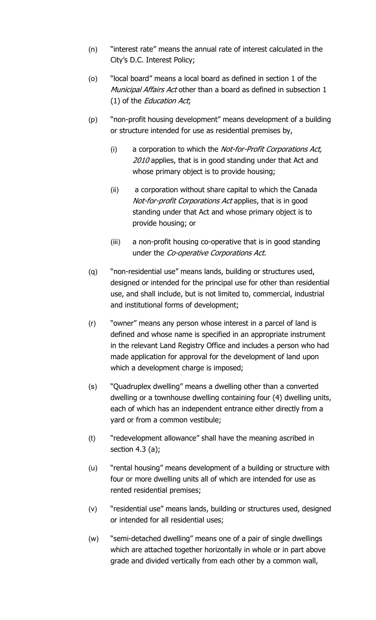- (n) "interest rate" means the annual rate of interest calculated in the City's D.C. Interest Policy;
- (o) "local board" means a local board as defined in section 1 of the Municipal Affairs Act other than a board as defined in subsection 1 (1) of the Education Act;
- (p) "non-profit housing development" means development of a building or structure intended for use as residential premises by,
	- (i) a corporation to which the Not-for-Profit Corporations Act, 2010 applies, that is in good standing under that Act and whose primary object is to provide housing;
	- (ii) a corporation without share capital to which the Canada Not-for-profit Corporations Act applies, that is in good standing under that Act and whose primary object is to provide housing; or
	- (iii) a non-profit housing co-operative that is in good standing under the Co-operative Corporations Act.
- (q) "non-residential use" means lands, building or structures used, designed or intended for the principal use for other than residential use, and shall include, but is not limited to, commercial, industrial and institutional forms of development;
- (r) "owner" means any person whose interest in a parcel of land is defined and whose name is specified in an appropriate instrument in the relevant Land Registry Office and includes a person who had made application for approval for the development of land upon which a development charge is imposed;
- (s) "Quadruplex dwelling" means a dwelling other than a converted dwelling or a townhouse dwelling containing four (4) dwelling units, each of which has an independent entrance either directly from a yard or from a common vestibule;
- (t) "redevelopment allowance" shall have the meaning ascribed in section  $4.3$  (a);
- (u) "rental housing" means development of a building or structure with four or more dwelling units all of which are intended for use as rented residential premises;
- (v) "residential use" means lands, building or structures used, designed or intended for all residential uses;
- (w) "semi-detached dwelling" means one of a pair of single dwellings which are attached together horizontally in whole or in part above grade and divided vertically from each other by a common wall,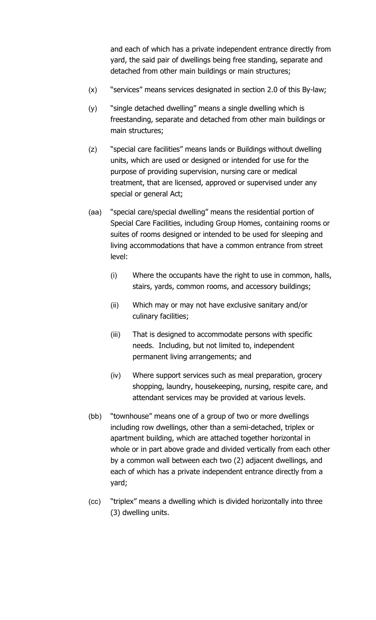and each of which has a private independent entrance directly from yard, the said pair of dwellings being free standing, separate and detached from other main buildings or main structures;

- (x) "services" means services designated in section 2.0 of this By-law;
- (y) "single detached dwelling" means a single dwelling which is freestanding, separate and detached from other main buildings or main structures;
- (z) "special care facilities" means lands or Buildings without dwelling units, which are used or designed or intended for use for the purpose of providing supervision, nursing care or medical treatment, that are licensed, approved or supervised under any special or general Act;
- (aa) "special care/special dwelling" means the residential portion of Special Care Facilities, including Group Homes, containing rooms or suites of rooms designed or intended to be used for sleeping and living accommodations that have a common entrance from street level:
	- (i) Where the occupants have the right to use in common, halls, stairs, yards, common rooms, and accessory buildings;
	- (ii) Which may or may not have exclusive sanitary and/or culinary facilities;
	- (iii) That is designed to accommodate persons with specific needs. Including, but not limited to, independent permanent living arrangements; and
	- (iv) Where support services such as meal preparation, grocery shopping, laundry, housekeeping, nursing, respite care, and attendant services may be provided at various levels.
- (bb) "townhouse" means one of a group of two or more dwellings including row dwellings, other than a semi-detached, triplex or apartment building, which are attached together horizontal in whole or in part above grade and divided vertically from each other by a common wall between each two (2) adjacent dwellings, and each of which has a private independent entrance directly from a yard;
- (cc) "triplex" means a dwelling which is divided horizontally into three (3) dwelling units.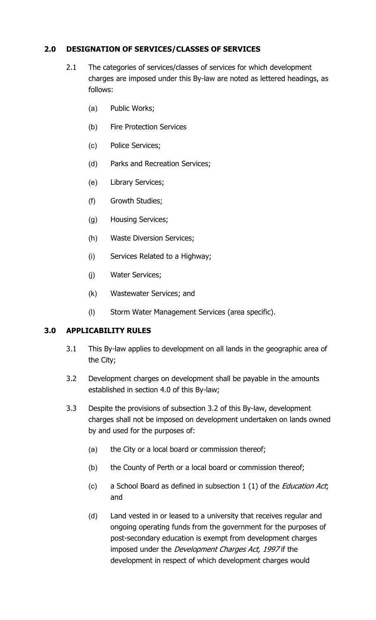## **2.0 DESIGNATION OF SERVICES/CLASSES OF SERVICES**

- 2.1 The categories of services/classes of services for which development charges are imposed under this By-law are noted as lettered headings, as follows:
	- (a) Public Works;
	- (b) Fire Protection Services
	- (c) Police Services;
	- (d) Parks and Recreation Services;
	- (e) Library Services;
	- (f) Growth Studies;
	- (g) Housing Services;
	- (h) Waste Diversion Services;
	- (i) Services Related to a Highway;
	- (j) Water Services;
	- (k) Wastewater Services; and
	- (l) Storm Water Management Services (area specific).

# **3.0 APPLICABILITY RULES**

- 3.1 This By-law applies to development on all lands in the geographic area of the City;
- 3.2 Development charges on development shall be payable in the amounts established in section 4.0 of this By-law;
- 3.3 Despite the provisions of subsection 3.2 of this By-law, development charges shall not be imposed on development undertaken on lands owned by and used for the purposes of:
	- (a) the City or a local board or commission thereof;
	- (b) the County of Perth or a local board or commission thereof;
	- (c) a School Board as defined in subsection  $1(1)$  of the *Education Act*; and
	- (d) Land vested in or leased to a university that receives regular and ongoing operating funds from the government for the purposes of post-secondary education is exempt from development charges imposed under the *Development Charges Act, 1997* if the development in respect of which development charges would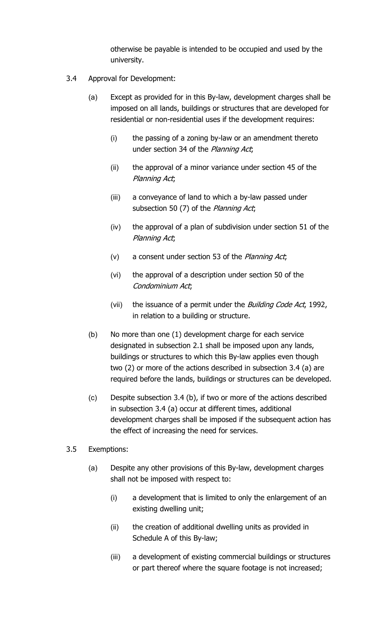otherwise be payable is intended to be occupied and used by the university.

- 3.4 Approval for Development:
	- (a) Except as provided for in this By-law, development charges shall be imposed on all lands, buildings or structures that are developed for residential or non-residential uses if the development requires:
		- (i) the passing of a zoning by-law or an amendment thereto under section 34 of the Planning Act;
		- (ii) the approval of a minor variance under section 45 of the Planning Act;
		- (iii) a conveyance of land to which a by-law passed under subsection 50 (7) of the Planning Act;
		- (iv) the approval of a plan of subdivision under section 51 of the Planning Act;
		- (v) a consent under section 53 of the Planning Act;
		- (vi) the approval of a description under section 50 of the Condominium Act;
		- (vii) the issuance of a permit under the *Building Code Act*, 1992, in relation to a building or structure.
	- (b) No more than one (1) development charge for each service designated in subsection 2.1 shall be imposed upon any lands, buildings or structures to which this By-law applies even though two (2) or more of the actions described in subsection 3.4 (a) are required before the lands, buildings or structures can be developed.
	- (c) Despite subsection 3.4 (b), if two or more of the actions described in subsection 3.4 (a) occur at different times, additional development charges shall be imposed if the subsequent action has the effect of increasing the need for services.
- 3.5 Exemptions:
	- (a) Despite any other provisions of this By-law, development charges shall not be imposed with respect to:
		- (i) a development that is limited to only the enlargement of an existing dwelling unit;
		- (ii) the creation of additional dwelling units as provided in Schedule A of this By-law;
		- (iii) a development of existing commercial buildings or structures or part thereof where the square footage is not increased;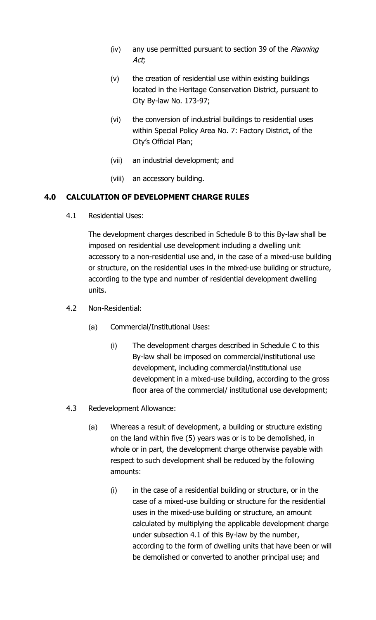- (iv) any use permitted pursuant to section 39 of the *Planning* Act;
- (v) the creation of residential use within existing buildings located in the Heritage Conservation District, pursuant to City By-law No. 173-97;
- (vi) the conversion of industrial buildings to residential uses within Special Policy Area No. 7: Factory District, of the City's Official Plan;
- (vii) an industrial development; and
- (viii) an accessory building.

## **4.0 CALCULATION OF DEVELOPMENT CHARGE RULES**

4.1 Residential Uses:

The development charges described in Schedule B to this By-law shall be imposed on residential use development including a dwelling unit accessory to a non-residential use and, in the case of a mixed-use building or structure, on the residential uses in the mixed-use building or structure, according to the type and number of residential development dwelling units.

- 4.2 Non-Residential:
	- (a) Commercial/Institutional Uses:
		- (i) The development charges described in Schedule C to this By-law shall be imposed on commercial/institutional use development, including commercial/institutional use development in a mixed-use building, according to the gross floor area of the commercial/ institutional use development;
- 4.3 Redevelopment Allowance:
	- (a) Whereas a result of development, a building or structure existing on the land within five (5) years was or is to be demolished, in whole or in part, the development charge otherwise payable with respect to such development shall be reduced by the following amounts:
		- (i) in the case of a residential building or structure, or in the case of a mixed-use building or structure for the residential uses in the mixed-use building or structure, an amount calculated by multiplying the applicable development charge under subsection 4.1 of this By-law by the number, according to the form of dwelling units that have been or will be demolished or converted to another principal use; and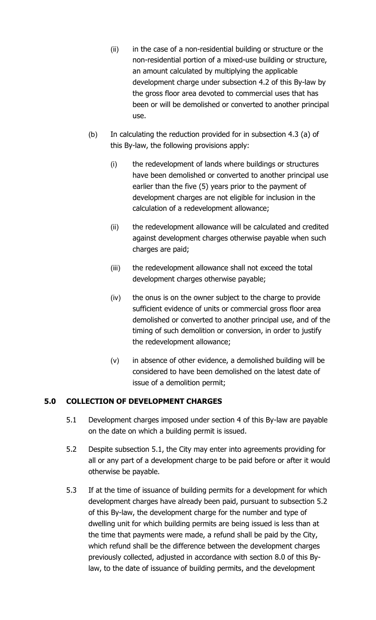- (ii) in the case of a non-residential building or structure or the non-residential portion of a mixed-use building or structure, an amount calculated by multiplying the applicable development charge under subsection 4.2 of this By-law by the gross floor area devoted to commercial uses that has been or will be demolished or converted to another principal use.
- (b) In calculating the reduction provided for in subsection 4.3 (a) of this By-law, the following provisions apply:
	- (i) the redevelopment of lands where buildings or structures have been demolished or converted to another principal use earlier than the five (5) years prior to the payment of development charges are not eligible for inclusion in the calculation of a redevelopment allowance;
	- (ii) the redevelopment allowance will be calculated and credited against development charges otherwise payable when such charges are paid;
	- (iii) the redevelopment allowance shall not exceed the total development charges otherwise payable;
	- (iv) the onus is on the owner subject to the charge to provide sufficient evidence of units or commercial gross floor area demolished or converted to another principal use, and of the timing of such demolition or conversion, in order to justify the redevelopment allowance;
	- (v) in absence of other evidence, a demolished building will be considered to have been demolished on the latest date of issue of a demolition permit;

# **5.0 COLLECTION OF DEVELOPMENT CHARGES**

- 5.1 Development charges imposed under section 4 of this By-law are payable on the date on which a building permit is issued.
- 5.2 Despite subsection 5.1, the City may enter into agreements providing for all or any part of a development charge to be paid before or after it would otherwise be payable.
- 5.3 If at the time of issuance of building permits for a development for which development charges have already been paid, pursuant to subsection 5.2 of this By-law, the development charge for the number and type of dwelling unit for which building permits are being issued is less than at the time that payments were made, a refund shall be paid by the City, which refund shall be the difference between the development charges previously collected, adjusted in accordance with section 8.0 of this Bylaw, to the date of issuance of building permits, and the development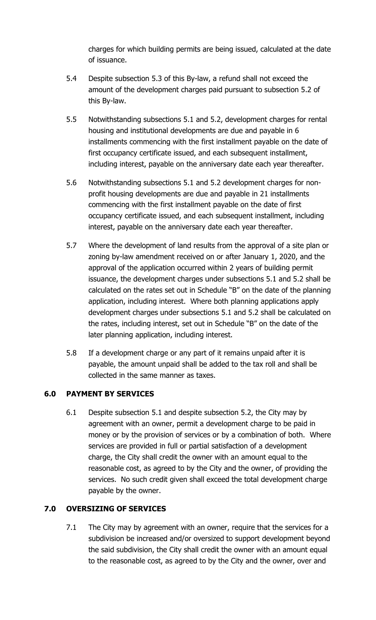charges for which building permits are being issued, calculated at the date of issuance.

- 5.4 Despite subsection 5.3 of this By-law, a refund shall not exceed the amount of the development charges paid pursuant to subsection 5.2 of this By-law.
- 5.5 Notwithstanding subsections 5.1 and 5.2, development charges for rental housing and institutional developments are due and payable in 6 installments commencing with the first installment payable on the date of first occupancy certificate issued, and each subsequent installment, including interest, payable on the anniversary date each year thereafter.
- 5.6 Notwithstanding subsections 5.1 and 5.2 development charges for nonprofit housing developments are due and payable in 21 installments commencing with the first installment payable on the date of first occupancy certificate issued, and each subsequent installment, including interest, payable on the anniversary date each year thereafter.
- 5.7 Where the development of land results from the approval of a site plan or zoning by-law amendment received on or after January 1, 2020, and the approval of the application occurred within 2 years of building permit issuance, the development charges under subsections 5.1 and 5.2 shall be calculated on the rates set out in Schedule "B" on the date of the planning application, including interest. Where both planning applications apply development charges under subsections 5.1 and 5.2 shall be calculated on the rates, including interest, set out in Schedule "B" on the date of the later planning application, including interest.
- 5.8 If a development charge or any part of it remains unpaid after it is payable, the amount unpaid shall be added to the tax roll and shall be collected in the same manner as taxes.

## **6.0 PAYMENT BY SERVICES**

6.1 Despite subsection 5.1 and despite subsection 5.2, the City may by agreement with an owner, permit a development charge to be paid in money or by the provision of services or by a combination of both. Where services are provided in full or partial satisfaction of a development charge, the City shall credit the owner with an amount equal to the reasonable cost, as agreed to by the City and the owner, of providing the services. No such credit given shall exceed the total development charge payable by the owner.

# **7.0 OVERSIZING OF SERVICES**

7.1 The City may by agreement with an owner, require that the services for a subdivision be increased and/or oversized to support development beyond the said subdivision, the City shall credit the owner with an amount equal to the reasonable cost, as agreed to by the City and the owner, over and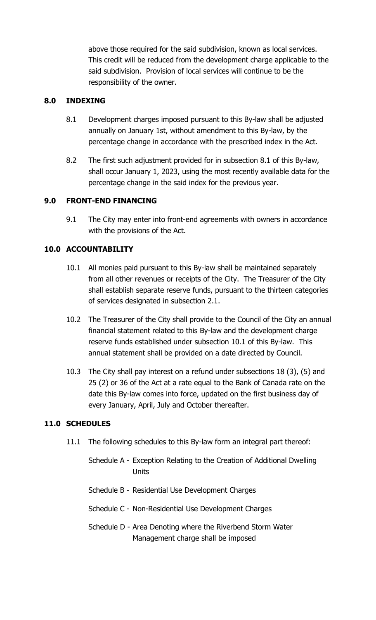above those required for the said subdivision, known as local services. This credit will be reduced from the development charge applicable to the said subdivision. Provision of local services will continue to be the responsibility of the owner.

### **8.0 INDEXING**

- 8.1 Development charges imposed pursuant to this By-law shall be adjusted annually on January 1st, without amendment to this By-law, by the percentage change in accordance with the prescribed index in the Act.
- 8.2 The first such adjustment provided for in subsection 8.1 of this By-law, shall occur January 1, 2023, using the most recently available data for the percentage change in the said index for the previous year.

## **9.0 FRONT-END FINANCING**

9.1 The City may enter into front-end agreements with owners in accordance with the provisions of the Act.

## **10.0 ACCOUNTABILITY**

- 10.1 All monies paid pursuant to this By-law shall be maintained separately from all other revenues or receipts of the City. The Treasurer of the City shall establish separate reserve funds, pursuant to the thirteen categories of services designated in subsection 2.1.
- 10.2 The Treasurer of the City shall provide to the Council of the City an annual financial statement related to this By-law and the development charge reserve funds established under subsection 10.1 of this By-law. This annual statement shall be provided on a date directed by Council.
- 10.3 The City shall pay interest on a refund under subsections 18 (3), (5) and 25 (2) or 36 of the Act at a rate equal to the Bank of Canada rate on the date this By-law comes into force, updated on the first business day of every January, April, July and October thereafter.

#### **11.0 SCHEDULES**

- 11.1 The following schedules to this By-law form an integral part thereof:
	- Schedule A Exception Relating to the Creation of Additional Dwelling Units
	- Schedule B Residential Use Development Charges
	- Schedule C Non-Residential Use Development Charges
	- Schedule D Area Denoting where the Riverbend Storm Water Management charge shall be imposed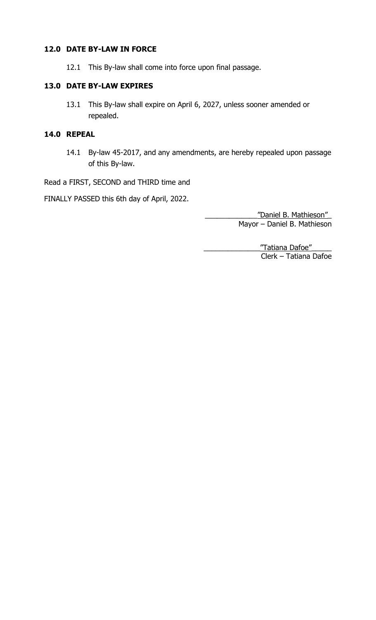### **12.0 DATE BY-LAW IN FORCE**

12.1 This By-law shall come into force upon final passage.

### **13.0 DATE BY-LAW EXPIRES**

13.1 This By-law shall expire on April 6, 2027, unless sooner amended or repealed.

## **14.0 REPEAL**

14.1 By-law 45-2017, and any amendments, are hereby repealed upon passage of this By-law.

Read a FIRST, SECOND and THIRD time and

FINALLY PASSED this 6th day of April, 2022.

\_\_\_\_\_\_\_\_\_\_\_\_\_"Daniel B. Mathieson"\_ Mayor – Daniel B. Mathieson

\_\_\_\_\_\_\_\_\_\_\_\_\_\_"Tatiana Dafoe"\_\_\_\_\_ Clerk – Tatiana Dafoe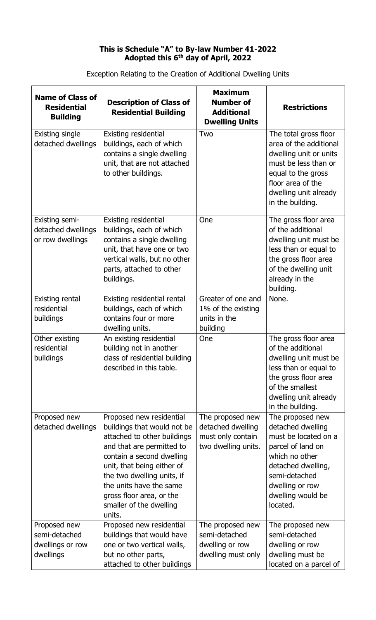#### **This is Schedule "A" to By-law Number 41-2022 Adopted this 6th day of April, 2022**

| <b>Name of Class of</b><br><b>Residential</b><br><b>Building</b> | <b>Description of Class of</b><br><b>Residential Building</b>                                                                                                                                                                                                                                            | <b>Maximum</b><br><b>Number of</b><br><b>Additional</b><br><b>Dwelling Units</b>  | <b>Restrictions</b>                                                                                                                                                                             |
|------------------------------------------------------------------|----------------------------------------------------------------------------------------------------------------------------------------------------------------------------------------------------------------------------------------------------------------------------------------------------------|-----------------------------------------------------------------------------------|-------------------------------------------------------------------------------------------------------------------------------------------------------------------------------------------------|
| <b>Existing single</b><br>detached dwellings                     | Existing residential<br>buildings, each of which<br>contains a single dwelling<br>unit, that are not attached<br>to other buildings.                                                                                                                                                                     | Two                                                                               | The total gross floor<br>area of the additional<br>dwelling unit or units<br>must be less than or<br>equal to the gross<br>floor area of the<br>dwelling unit already<br>in the building.       |
| <b>Existing semi-</b><br>detached dwellings<br>or row dwellings  | Existing residential<br>buildings, each of which<br>contains a single dwelling<br>unit, that have one or two<br>vertical walls, but no other<br>parts, attached to other<br>buildings.                                                                                                                   | One                                                                               | The gross floor area<br>of the additional<br>dwelling unit must be<br>less than or equal to<br>the gross floor area<br>of the dwelling unit<br>already in the<br>building.                      |
| <b>Existing rental</b><br>residential<br>buildings               | Existing residential rental<br>buildings, each of which<br>contains four or more<br>dwelling units.                                                                                                                                                                                                      | Greater of one and<br>1% of the existing<br>units in the<br>building              | None.                                                                                                                                                                                           |
| Other existing<br>residential<br>buildings                       | An existing residential<br>building not in another<br>class of residential building<br>described in this table.                                                                                                                                                                                          | One                                                                               | The gross floor area<br>of the additional<br>dwelling unit must be<br>less than or equal to<br>the gross floor area<br>of the smallest<br>dwelling unit already<br>in the building.             |
| Proposed new<br>detached dwellings                               | Proposed new residential<br>buildings that would not be<br>attached to other buildings<br>and that are permitted to<br>contain a second dwelling<br>unit, that being either of<br>the two dwelling units, if<br>the units have the same<br>gross floor area, or the<br>smaller of the dwelling<br>units. | The proposed new<br>detached dwelling<br>must only contain<br>two dwelling units. | The proposed new<br>detached dwelling<br>must be located on a<br>parcel of land on<br>which no other<br>detached dwelling,<br>semi-detached<br>dwelling or row<br>dwelling would be<br>located. |
| Proposed new<br>semi-detached<br>dwellings or row<br>dwellings   | Proposed new residential<br>buildings that would have<br>one or two vertical walls,<br>but no other parts,<br>attached to other buildings                                                                                                                                                                | The proposed new<br>semi-detached<br>dwelling or row<br>dwelling must only        | The proposed new<br>semi-detached<br>dwelling or row<br>dwelling must be<br>located on a parcel of                                                                                              |

Exception Relating to the Creation of Additional Dwelling Units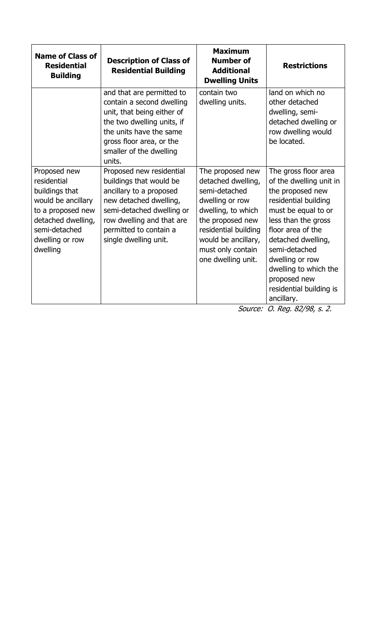| <b>Name of Class of</b><br><b>Residential</b><br><b>Building</b>                                                                                               | <b>Description of Class of</b><br><b>Residential Building</b>                                                                                                                                                         | <b>Maximum</b><br><b>Number of</b><br><b>Additional</b><br><b>Dwelling Units</b>                                                                                                                               | <b>Restrictions</b>                                                                                                                                                                                                                                                                                        |
|----------------------------------------------------------------------------------------------------------------------------------------------------------------|-----------------------------------------------------------------------------------------------------------------------------------------------------------------------------------------------------------------------|----------------------------------------------------------------------------------------------------------------------------------------------------------------------------------------------------------------|------------------------------------------------------------------------------------------------------------------------------------------------------------------------------------------------------------------------------------------------------------------------------------------------------------|
|                                                                                                                                                                | and that are permitted to<br>contain a second dwelling<br>unit, that being either of<br>the two dwelling units, if<br>the units have the same<br>gross floor area, or the<br>smaller of the dwelling<br>units.        | contain two<br>dwelling units.                                                                                                                                                                                 | land on which no<br>other detached<br>dwelling, semi-<br>detached dwelling or<br>row dwelling would<br>be located.                                                                                                                                                                                         |
| Proposed new<br>residential<br>buildings that<br>would be ancillary<br>to a proposed new<br>detached dwelling,<br>semi-detached<br>dwelling or row<br>dwelling | Proposed new residential<br>buildings that would be<br>ancillary to a proposed<br>new detached dwelling,<br>semi-detached dwelling or<br>row dwelling and that are<br>permitted to contain a<br>single dwelling unit. | The proposed new<br>detached dwelling,<br>semi-detached<br>dwelling or row<br>dwelling, to which<br>the proposed new<br>residential building<br>would be ancillary,<br>must only contain<br>one dwelling unit. | The gross floor area<br>of the dwelling unit in<br>the proposed new<br>residential building<br>must be equal to or<br>less than the gross<br>floor area of the<br>detached dwelling,<br>semi-detached<br>dwelling or row<br>dwelling to which the<br>proposed new<br>residential building is<br>ancillary. |

Source: O. Reg. 82/98, s. 2.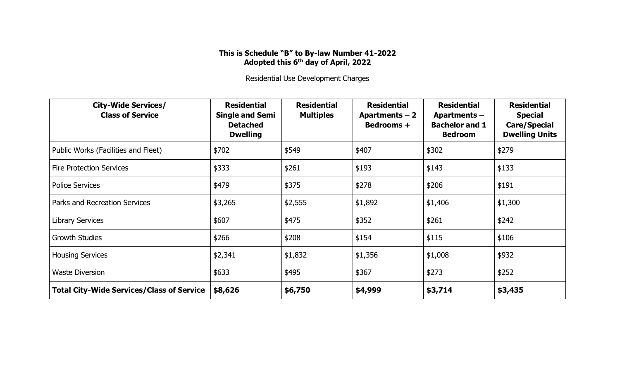#### **This is Schedule "B" to By-law Number 41-2022 Adopted this 6th day of April, 2022**

Residential Use Development Charges

| <b>City-Wide Services/</b><br><b>Class of Service</b> | <b>Residential</b><br><b>Single and Semi</b><br><b>Detached</b><br><b>Dwelling</b> | <b>Residential</b><br><b>Multiples</b> | <b>Residential</b><br>Apartments $-2$<br>Bedrooms + | <b>Residential</b><br>Apartments-<br><b>Bachelor and 1</b><br><b>Bedroom</b> | <b>Residential</b><br><b>Special</b><br><b>Care/Special</b><br><b>Dwelling Units</b> |
|-------------------------------------------------------|------------------------------------------------------------------------------------|----------------------------------------|-----------------------------------------------------|------------------------------------------------------------------------------|--------------------------------------------------------------------------------------|
| Public Works (Facilities and Fleet)                   | \$702                                                                              | \$549                                  | \$407                                               | \$302                                                                        | \$279                                                                                |
| <b>Fire Protection Services</b>                       | \$333                                                                              | \$261                                  | \$193                                               | \$143                                                                        | \$133                                                                                |
| <b>Police Services</b>                                | \$479                                                                              | \$375                                  | \$278                                               | \$206                                                                        | \$191                                                                                |
| Parks and Recreation Services                         | \$3,265                                                                            | \$2,555                                | \$1,892                                             | \$1,406                                                                      | \$1,300                                                                              |
| <b>Library Services</b>                               | \$607                                                                              | \$475                                  | \$352                                               | \$261                                                                        | \$242                                                                                |
| <b>Growth Studies</b>                                 | \$266                                                                              | \$208                                  | \$154                                               | \$115                                                                        | \$106                                                                                |
| <b>Housing Services</b>                               | \$2,341                                                                            | \$1,832                                | \$1,356                                             | \$1,008                                                                      | \$932                                                                                |
| <b>Waste Diversion</b>                                | \$633                                                                              | \$495                                  | \$367                                               | \$273                                                                        | \$252                                                                                |
| <b>Total City-Wide Services/Class of Service</b>      | \$8,626                                                                            | \$6,750                                | \$4,999                                             | \$3,714                                                                      | \$3,435                                                                              |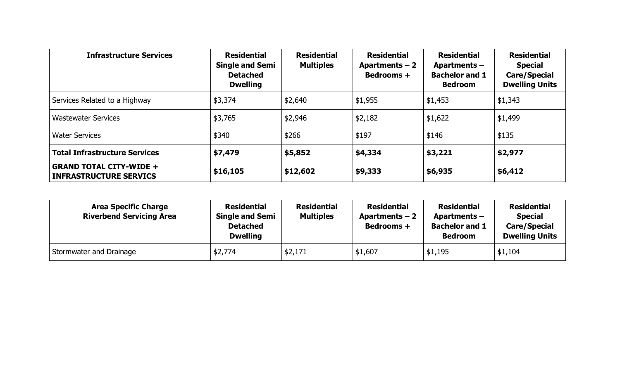| <b>Infrastructure Services</b>                                  | <b>Residential</b><br><b>Single and Semi</b><br><b>Detached</b><br><b>Dwelling</b> | <b>Residential</b><br><b>Multiples</b> | <b>Residential</b><br>Apartments $-2$<br><b>Bedrooms +</b> | <b>Residential</b><br>Apartments-<br><b>Bachelor and 1</b><br><b>Bedroom</b> | <b>Residential</b><br><b>Special</b><br><b>Care/Special</b><br><b>Dwelling Units</b> |
|-----------------------------------------------------------------|------------------------------------------------------------------------------------|----------------------------------------|------------------------------------------------------------|------------------------------------------------------------------------------|--------------------------------------------------------------------------------------|
| Services Related to a Highway                                   | \$3,374                                                                            | \$2,640                                | \$1,955                                                    | \$1,453                                                                      | \$1,343                                                                              |
| <b>Wastewater Services</b>                                      | \$3,765                                                                            | \$2,946                                | \$2,182                                                    | \$1,622                                                                      | \$1,499                                                                              |
| <b>Water Services</b>                                           | \$340                                                                              | \$266                                  | \$197                                                      | \$146                                                                        | \$135                                                                                |
| <b>Total Infrastructure Services</b>                            | \$7,479                                                                            | \$5,852                                | \$4,334                                                    | \$3,221                                                                      | \$2,977                                                                              |
| <b>GRAND TOTAL CITY-WIDE +</b><br><b>INFRASTRUCTURE SERVICS</b> | \$16,105                                                                           | \$12,602                               | \$9,333                                                    | \$6,935                                                                      | \$6,412                                                                              |

| <b>Area Specific Charge</b><br><b>Riverbend Servicing Area</b> | <b>Residential</b><br><b>Single and Semi</b><br><b>Detached</b><br><b>Dwelling</b> | <b>Residential</b><br><b>Multiples</b> | <b>Residential</b><br>Apartments $-2$<br><b>Bedrooms +</b> | <b>Residential</b><br>Apartments –<br><b>Bachelor and 1</b><br><b>Bedroom</b> | <b>Residential</b><br><b>Special</b><br><b>Care/Special</b><br><b>Dwelling Units</b> |
|----------------------------------------------------------------|------------------------------------------------------------------------------------|----------------------------------------|------------------------------------------------------------|-------------------------------------------------------------------------------|--------------------------------------------------------------------------------------|
| Stormwater and Drainage                                        | \$2,774                                                                            | \$2,171                                | \$1,607                                                    | \$1,195                                                                       | \$1,104                                                                              |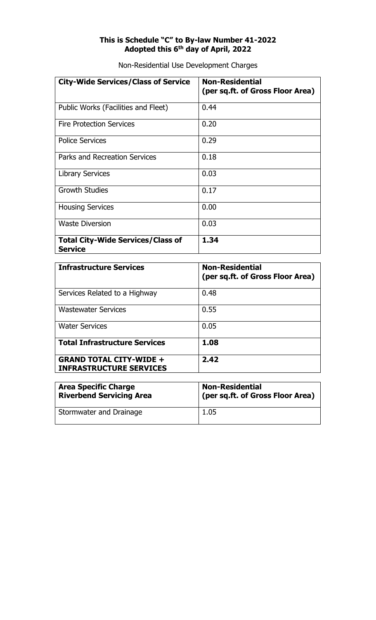#### **This is Schedule "C" to By-law Number 41-2022 Adopted this 6th day of April, 2022**

Non-Residential Use Development Charges

| <b>City-Wide Services/Class of Service</b>                 | <b>Non-Residential</b><br>(per sq.ft. of Gross Floor Area) |
|------------------------------------------------------------|------------------------------------------------------------|
| Public Works (Facilities and Fleet)                        | 0.44                                                       |
| <b>Fire Protection Services</b>                            | 0.20                                                       |
| <b>Police Services</b>                                     | 0.29                                                       |
| <b>Parks and Recreation Services</b>                       | 0.18                                                       |
| <b>Library Services</b>                                    | 0.03                                                       |
| <b>Growth Studies</b>                                      | 0.17                                                       |
| <b>Housing Services</b>                                    | 0.00                                                       |
| <b>Waste Diversion</b>                                     | 0.03                                                       |
| <b>Total City-Wide Services/Class of</b><br><b>Service</b> | 1.34                                                       |

| <b>Infrastructure Services</b>                                   | <b>Non-Residential</b><br>(per sq.ft. of Gross Floor Area) |
|------------------------------------------------------------------|------------------------------------------------------------|
| Services Related to a Highway                                    | 0.48                                                       |
| <b>Wastewater Services</b>                                       | 0.55                                                       |
| <b>Water Services</b>                                            | 0.05                                                       |
| <b>Total Infrastructure Services</b>                             | 1.08                                                       |
| <b>GRAND TOTAL CITY-WIDE +</b><br><b>INFRASTRUCTURE SERVICES</b> | 2.42                                                       |

| <b>Area Specific Charge</b>     | <b>Non-Residential</b>           |
|---------------------------------|----------------------------------|
| <b>Riverbend Servicing Area</b> | (per sq.ft. of Gross Floor Area) |
| Stormwater and Drainage         | 1.05                             |